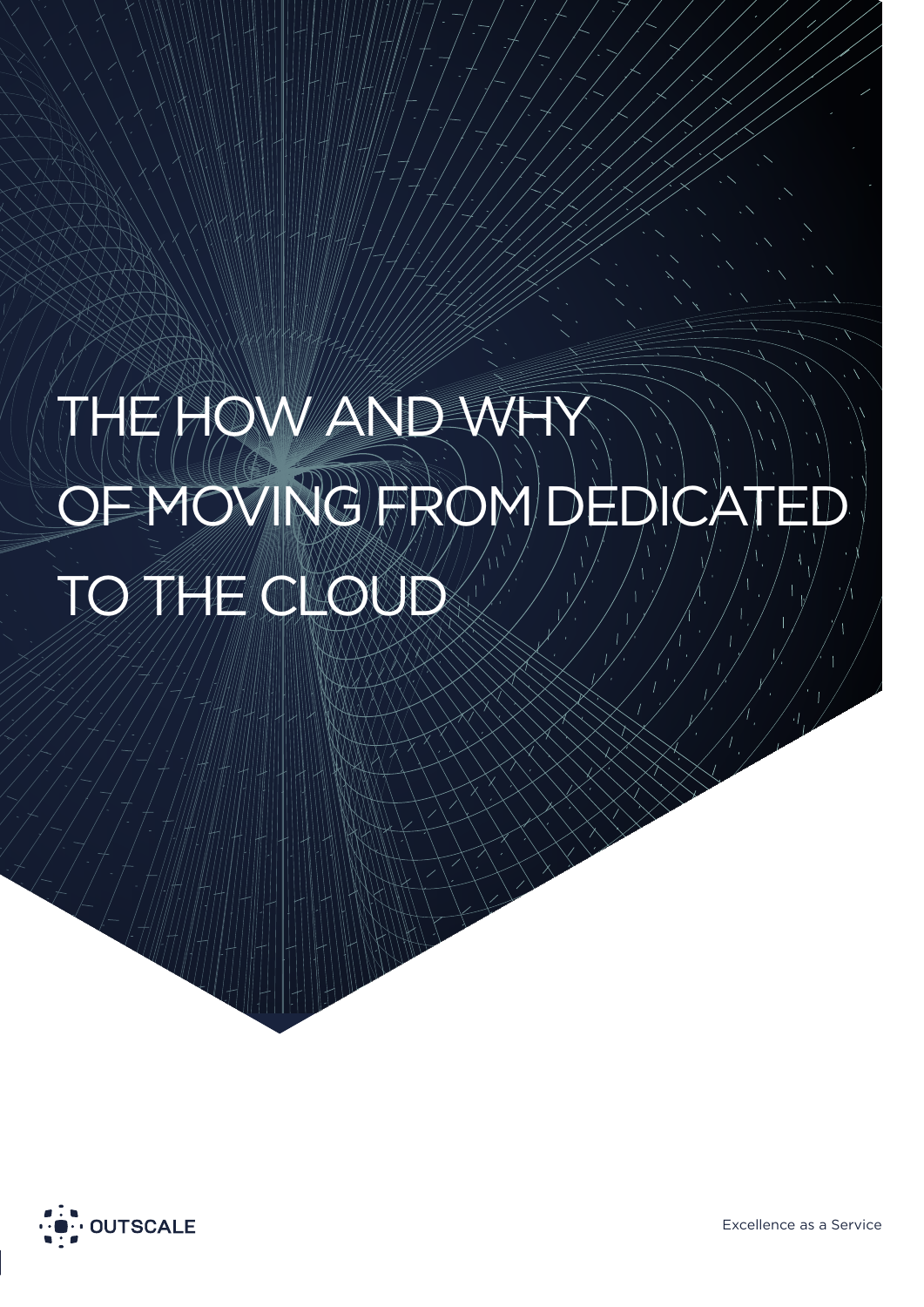# THOW AND W EMOVING FROM DEDICATE TO THE CLOUD

The How And Why Of Moving From Dedicated To The Cloud



Excellence as a Service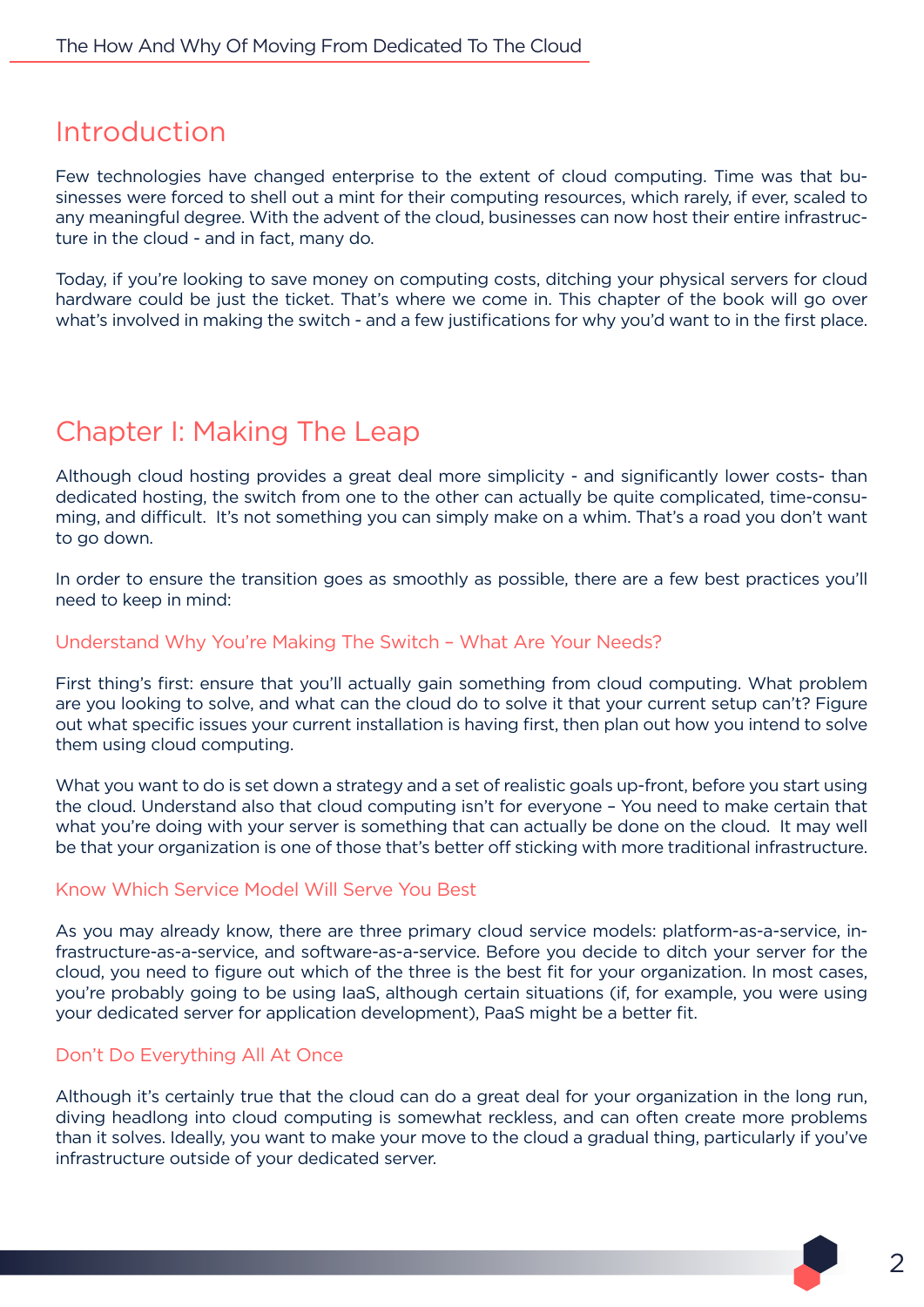## Introduction

Few technologies have changed enterprise to the extent of cloud computing. Time was that businesses were forced to shell out a mint for their computing resources, which rarely, if ever, scaled to any meaningful degree. With the advent of the cloud, businesses can now host their entire infrastructure in the cloud - and in fact, many do.

Today, if you're looking to save money on computing costs, ditching your physical servers for cloud hardware could be just the ticket. That's where we come in. This chapter of the book will go over what's involved in making the switch - and a few justifications for why you'd want to in the first place.

## Chapter I: Making The Leap

Although cloud hosting provides a great deal more simplicity - and significantly lower costs- than dedicated hosting, the switch from one to the other can actually be quite complicated, time-consuming, and difficult. It's not something you can simply make on a whim. That's a road you don't want to go down.

In order to ensure the transition goes as smoothly as possible, there are a few best practices you'll need to keep in mind:

#### Understand Why You're Making The Switch – What Are Your Needs?

First thing's first: ensure that you'll actually gain something from cloud computing. What problem are you looking to solve, and what can the cloud do to solve it that your current setup can't? Figure out what specific issues your current installation is having first, then plan out how you intend to solve them using cloud computing.

What you want to do is set down a strategy and a set of realistic goals up-front, before you start using the cloud. Understand also that cloud computing isn't for everyone – You need to make certain that what you're doing with your server is something that can actually be done on the cloud. It may well be that your organization is one of those that's better off sticking with more traditional infrastructure.

#### Know Which Service Model Will Serve You Best

As you may already know, there are three primary cloud service models: platform-as-a-service, infrastructure-as-a-service, and software-as-a-service. Before you decide to ditch your server for the cloud, you need to figure out which of the three is the best fit for your organization. In most cases, you're probably going to be using IaaS, although certain situations (if, for example, you were using your dedicated server for application development), PaaS might be a better fit.

## Don't Do Everything All At Once

Although it's certainly true that the cloud can do a great deal for your organization in the long run, diving headlong into cloud computing is somewhat reckless, and can often create more problems than it solves. Ideally, you want to make your move to the cloud a gradual thing, particularly if you've infrastructure outside of your dedicated server.

 $\mathcal{P}$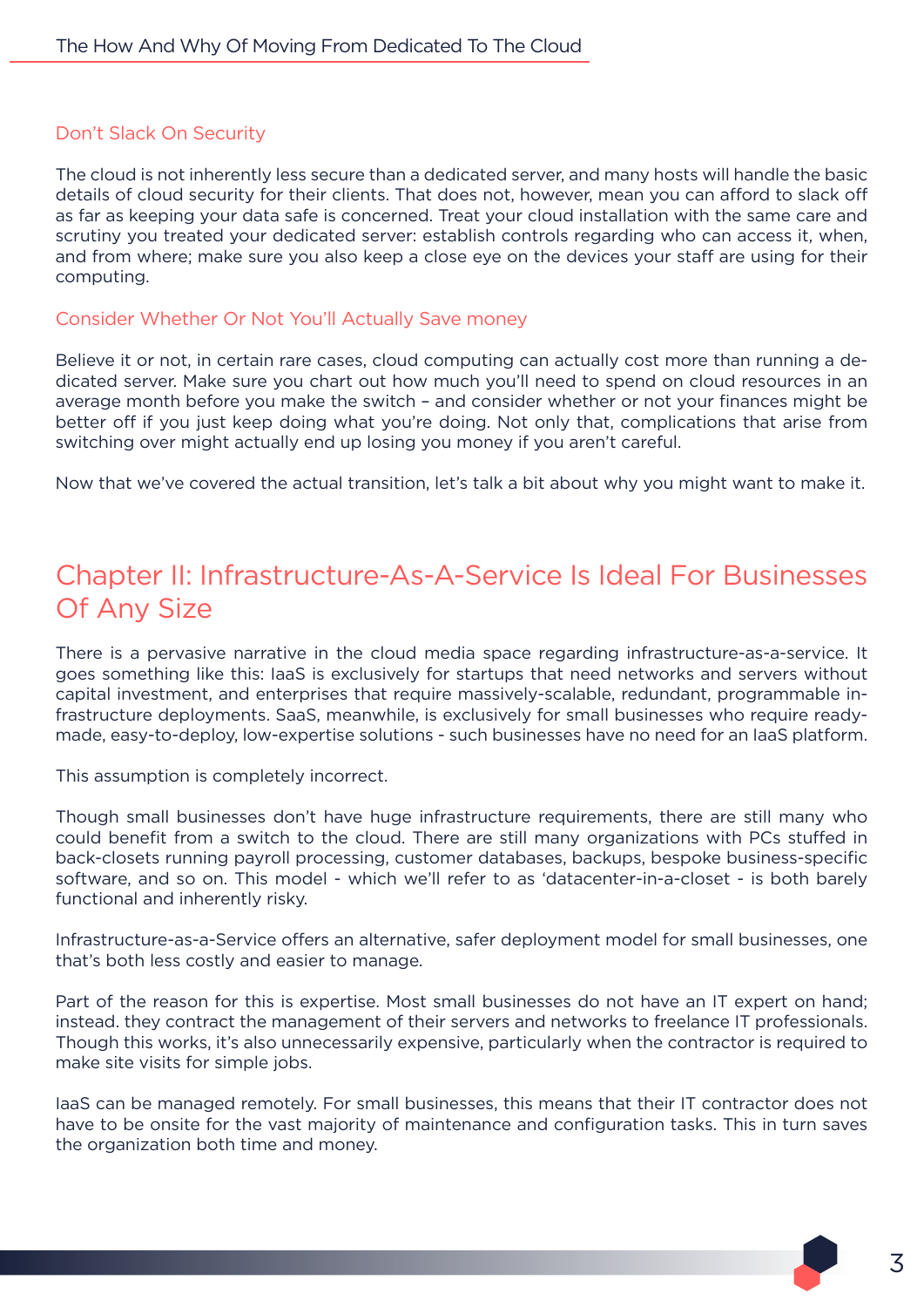## Don't Slack On Security

The cloud is not inherently less secure than a dedicated server, and many hosts will handle the basic details of cloud security for their clients. That does not, however, mean you can afford to slack off as far as keeping your data safe is concerned. Treat your cloud installation with the same care and scrutiny you treated your dedicated server: establish controls regarding who can access it, when, and from where; make sure you also keep a close eye on the devices your staff are using for their computing.

### Consider Whether Or Not You'll Actually Save money

Believe it or not, in certain rare cases, cloud computing can actually cost more than running a dedicated server. Make sure you chart out how much you'll need to spend on cloud resources in an average month before you make the switch – and consider whether or not your finances might be better off if you just keep doing what you're doing. Not only that, complications that arise from switching over might actually end up losing you money if you aren't careful.

Now that we've covered the actual transition, let's talk a bit about why you might want to make it.

# Chapter II: Infrastructure-As-A-Service Is Ideal For Businesses Of Any Size

There is a pervasive narrative in the cloud media space regarding infrastructure-as-a-service. It goes something like this: IaaS is exclusively for startups that need networks and servers without capital investment, and enterprises that require massively-scalable, redundant, programmable infrastructure deployments. SaaS, meanwhile, is exclusively for small businesses who require readymade, easy-to-deploy, low-expertise solutions - such businesses have no need for an IaaS platform.

This assumption is completely incorrect.

Though small businesses don't have huge infrastructure requirements, there are still many who could benefit from a switch to the cloud. There are still many organizations with PCs stuffed in back-closets running payroll processing, customer databases, backups, bespoke business-specific software, and so on. This model - which we'll refer to as 'datacenter-in-a-closet - is both barely functional and inherently risky.

Infrastructure-as-a-Service offers an alternative, safer deployment model for small businesses, one that's both less costly and easier to manage.

Part of the reason for this is expertise. Most small businesses do not have an IT expert on hand; instead. they contract the management of their servers and networks to freelance IT professionals. Though this works, it's also unnecessarily expensive, particularly when the contractor is required to make site visits for simple jobs.

IaaS can be managed remotely. For small businesses, this means that their IT contractor does not have to be onsite for the vast majority of maintenance and configuration tasks. This in turn saves the organization both time and money.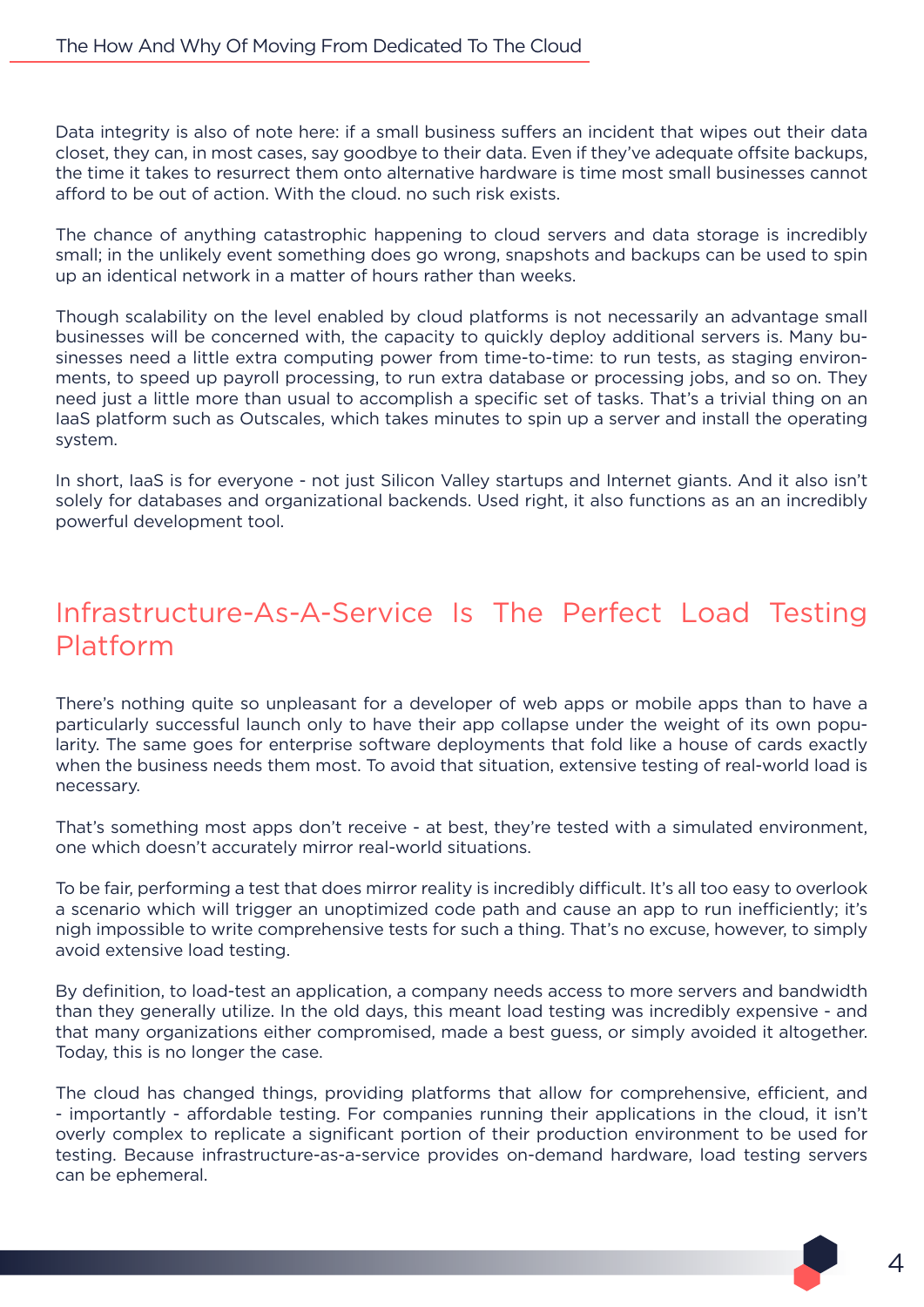Data integrity is also of note here: if a small business suffers an incident that wipes out their data closet, they can, in most cases, say goodbye to their data. Even if they've adequate offsite backups, the time it takes to resurrect them onto alternative hardware is time most small businesses cannot afford to be out of action. With the cloud. no such risk exists.

The chance of anything catastrophic happening to cloud servers and data storage is incredibly small; in the unlikely event something does go wrong, snapshots and backups can be used to spin up an identical network in a matter of hours rather than weeks.

Though scalability on the level enabled by cloud platforms is not necessarily an advantage small businesses will be concerned with, the capacity to quickly deploy additional servers is. Many businesses need a little extra computing power from time-to-time: to run tests, as staging environments, to speed up payroll processing, to run extra database or processing jobs, and so on. They need just a little more than usual to accomplish a specific set of tasks. That's a trivial thing on an IaaS platform such as Outscales, which takes minutes to spin up a server and install the operating system.

In short, IaaS is for everyone - not just Silicon Valley startups and Internet giants. And it also isn't solely for databases and organizational backends. Used right, it also functions as an an incredibly powerful development tool.

# Infrastructure-As-A-Service Is The Perfect Load Testing Platform

There's nothing quite so unpleasant for a developer of web apps or mobile apps than to have a particularly successful launch only to have their app collapse under the weight of its own popularity. The same goes for enterprise software deployments that fold like a house of cards exactly when the business needs them most. To avoid that situation, extensive testing of real-world load is necessary.

That's something most apps don't receive - at best, they're tested with a simulated environment, one which doesn't accurately mirror real-world situations.

To be fair, performing a test that does mirror reality is incredibly difficult. It's all too easy to overlook a scenario which will trigger an unoptimized code path and cause an app to run inefficiently; it's nigh impossible to write comprehensive tests for such a thing. That's no excuse, however, to simply avoid extensive load testing.

By definition, to load-test an application, a company needs access to more servers and bandwidth than they generally utilize. In the old days, this meant load testing was incredibly expensive - and that many organizations either compromised, made a best guess, or simply avoided it altogether. Today, this is no longer the case.

The cloud has changed things, providing platforms that allow for comprehensive, efficient, and - importantly - affordable testing. For companies running their applications in the cloud, it isn't overly complex to replicate a significant portion of their production environment to be used for testing. Because infrastructure-as-a-service provides on-demand hardware, load testing servers can be ephemeral.

4